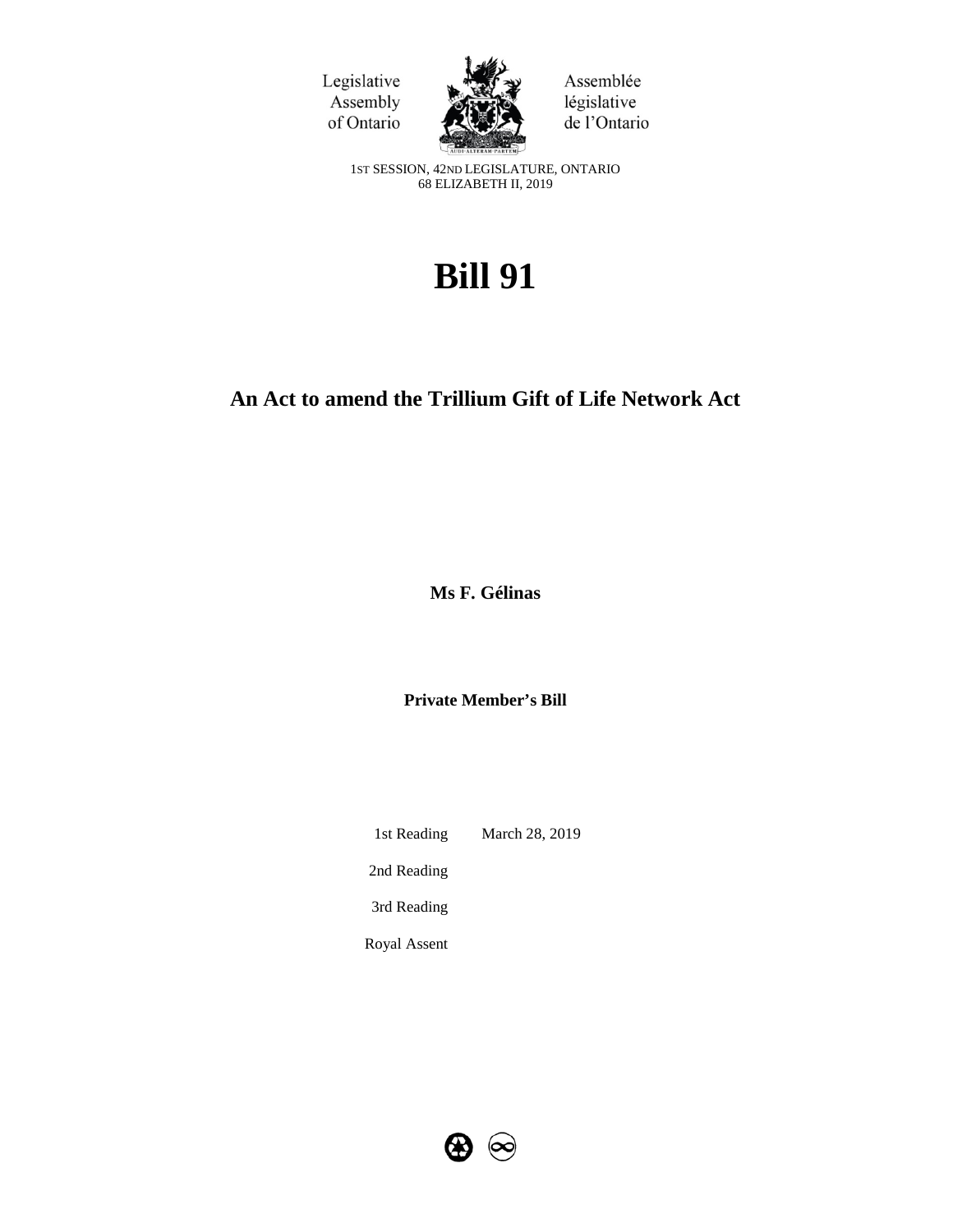



Assemblée législative de l'Ontario

1ST SESSION, 42ND LEGISLATURE, ONTARIO 68 ELIZABETH II, 2019

# **Bill 91**

# **An Act to amend the Trillium Gift of Life Network Act**

**Ms F. Gélinas**

**Private Member's Bill**

1st Reading March 28, 2019 2nd Reading 3rd Reading

Royal Assent

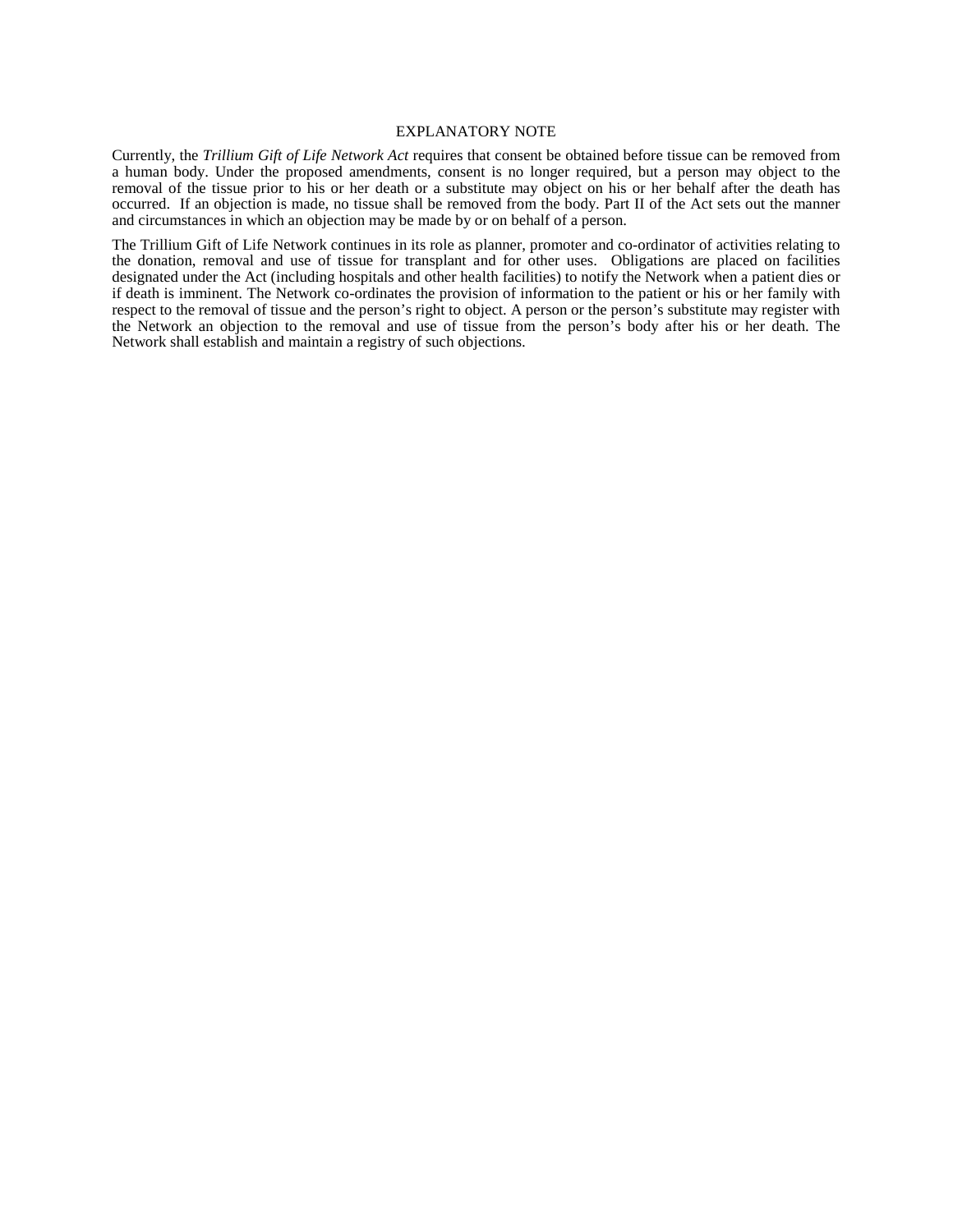#### EXPLANATORY NOTE

Currently, the *Trillium Gift of Life Network Act* requires that consent be obtained before tissue can be removed from a human body. Under the proposed amendments, consent is no longer required, but a person may object to the removal of the tissue prior to his or her death or a substitute may object on his or her behalf after the death has occurred. If an objection is made, no tissue shall be removed from the body. Part II of the Act sets out the manner and circumstances in which an objection may be made by or on behalf of a person.

The Trillium Gift of Life Network continues in its role as planner, promoter and co-ordinator of activities relating to the donation, removal and use of tissue for transplant and for other uses. Obligations are placed on facilities designated under the Act (including hospitals and other health facilities) to notify the Network when a patient dies or if death is imminent. The Network co-ordinates the provision of information to the patient or his or her family with respect to the removal of tissue and the person's right to object. A person or the person's substitute may register with the Network an objection to the removal and use of tissue from the person's body after his or her death. The Network shall establish and maintain a registry of such objections.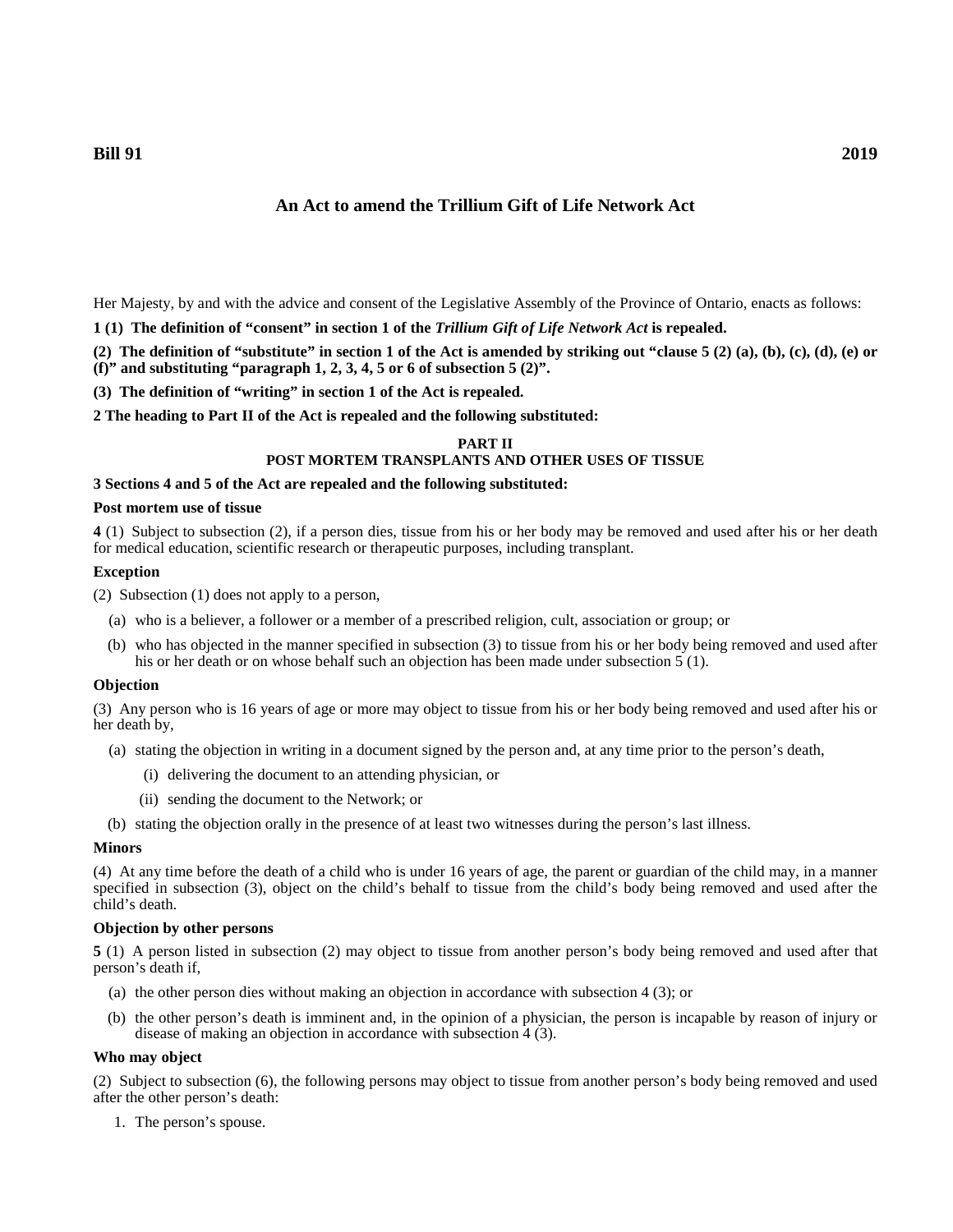**Bill 91 2019**

# **An Act to amend the Trillium Gift of Life Network Act**

Her Majesty, by and with the advice and consent of the Legislative Assembly of the Province of Ontario, enacts as follows:

**1 (1) The definition of "consent" in section 1 of the** *Trillium Gift of Life Network Act* **is repealed.**

**(2) The definition of "substitute" in section 1 of the Act is amended by striking out "clause 5 (2) (a), (b), (c), (d), (e) or (f)" and substituting "paragraph 1, 2, 3, 4, 5 or 6 of subsection 5 (2)".**

**(3) The definition of "writing" in section 1 of the Act is repealed.**

**2 The heading to Part II of the Act is repealed and the following substituted:**

# **PART II POST MORTEM TRANSPLANTS AND OTHER USES OF TISSUE**

#### **3 Sections 4 and 5 of the Act are repealed and the following substituted:**

#### **Post mortem use of tissue**

**4** (1) Subject to subsection (2), if a person dies, tissue from his or her body may be removed and used after his or her death for medical education, scientific research or therapeutic purposes, including transplant.

#### **Exception**

(2) Subsection (1) does not apply to a person,

- (a) who is a believer, a follower or a member of a prescribed religion, cult, association or group; or
- (b) who has objected in the manner specified in subsection (3) to tissue from his or her body being removed and used after his or her death or on whose behalf such an objection has been made under subsection 5 (1).

#### **Objection**

(3) Any person who is 16 years of age or more may object to tissue from his or her body being removed and used after his or her death by,

- (a) stating the objection in writing in a document signed by the person and, at any time prior to the person's death,
	- (i) delivering the document to an attending physician, or
	- (ii) sending the document to the Network; or
- (b) stating the objection orally in the presence of at least two witnesses during the person's last illness.

#### **Minors**

(4) At any time before the death of a child who is under 16 years of age, the parent or guardian of the child may, in a manner specified in subsection (3), object on the child's behalf to tissue from the child's body being removed and used after the child's death.

# **Objection by other persons**

**5** (1) A person listed in subsection (2) may object to tissue from another person's body being removed and used after that person's death if,

- (a) the other person dies without making an objection in accordance with subsection 4 (3); or
- (b) the other person's death is imminent and, in the opinion of a physician, the person is incapable by reason of injury or disease of making an objection in accordance with subsection 4 (3).

#### **Who may object**

(2) Subject to subsection (6), the following persons may object to tissue from another person's body being removed and used after the other person's death:

1. The person's spouse.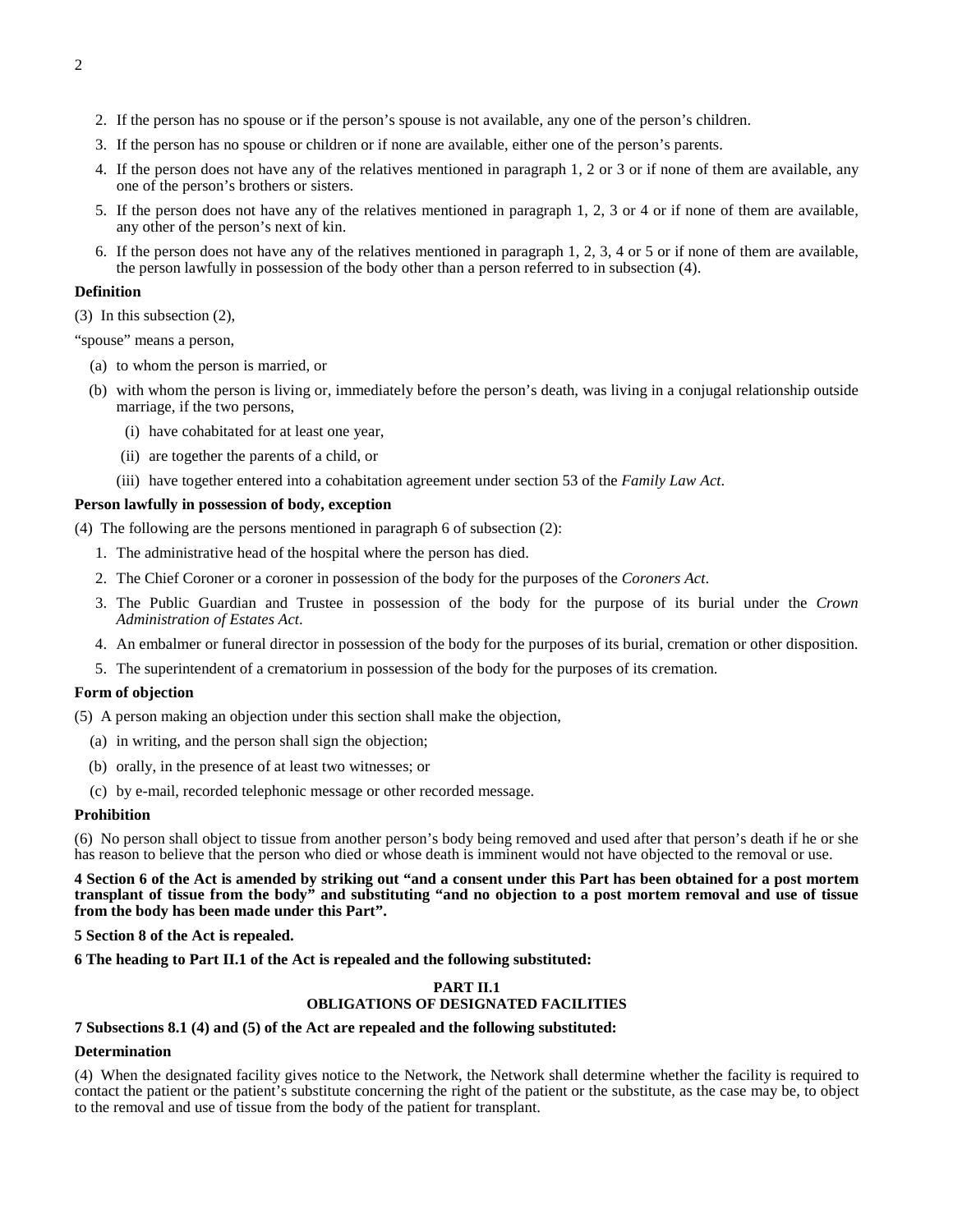- 2. If the person has no spouse or if the person's spouse is not available, any one of the person's children.
- 3. If the person has no spouse or children or if none are available, either one of the person's parents.
- 4. If the person does not have any of the relatives mentioned in paragraph 1, 2 or 3 or if none of them are available, any one of the person's brothers or sisters.
- 5. If the person does not have any of the relatives mentioned in paragraph 1, 2, 3 or 4 or if none of them are available, any other of the person's next of kin.
- 6. If the person does not have any of the relatives mentioned in paragraph 1, 2, 3, 4 or 5 or if none of them are available, the person lawfully in possession of the body other than a person referred to in subsection (4).

## **Definition**

(3) In this subsection (2),

"spouse" means a person,

- (a) to whom the person is married, or
- (b) with whom the person is living or, immediately before the person's death, was living in a conjugal relationship outside marriage, if the two persons,
	- (i) have cohabitated for at least one year,
	- (ii) are together the parents of a child, or
	- (iii) have together entered into a cohabitation agreement under section 53 of the *Family Law Act*.

# **Person lawfully in possession of body, exception**

(4) The following are the persons mentioned in paragraph 6 of subsection (2):

- 1. The administrative head of the hospital where the person has died.
- 2. The Chief Coroner or a coroner in possession of the body for the purposes of the *Coroners Act*.
- 3. The Public Guardian and Trustee in possession of the body for the purpose of its burial under the *Crown Administration of Estates Act*.
- 4. An embalmer or funeral director in possession of the body for the purposes of its burial, cremation or other disposition.
- 5. The superintendent of a crematorium in possession of the body for the purposes of its cremation.

# **Form of objection**

(5) A person making an objection under this section shall make the objection,

- (a) in writing, and the person shall sign the objection;
- (b) orally, in the presence of at least two witnesses; or
- (c) by e-mail, recorded telephonic message or other recorded message.

#### **Prohibition**

(6) No person shall object to tissue from another person's body being removed and used after that person's death if he or she has reason to believe that the person who died or whose death is imminent would not have objected to the removal or use.

**4 Section 6 of the Act is amended by striking out "and a consent under this Part has been obtained for a post mortem transplant of tissue from the body" and substituting "and no objection to a post mortem removal and use of tissue from the body has been made under this Part".**

#### **5 Section 8 of the Act is repealed.**

# **6 The heading to Part II.1 of the Act is repealed and the following substituted:**

# **PART II.1 OBLIGATIONS OF DESIGNATED FACILITIES**

# **7 Subsections 8.1 (4) and (5) of the Act are repealed and the following substituted:**

# **Determination**

(4) When the designated facility gives notice to the Network, the Network shall determine whether the facility is required to contact the patient or the patient's substitute concerning the right of the patient or the substitute, as the case may be, to object to the removal and use of tissue from the body of the patient for transplant.